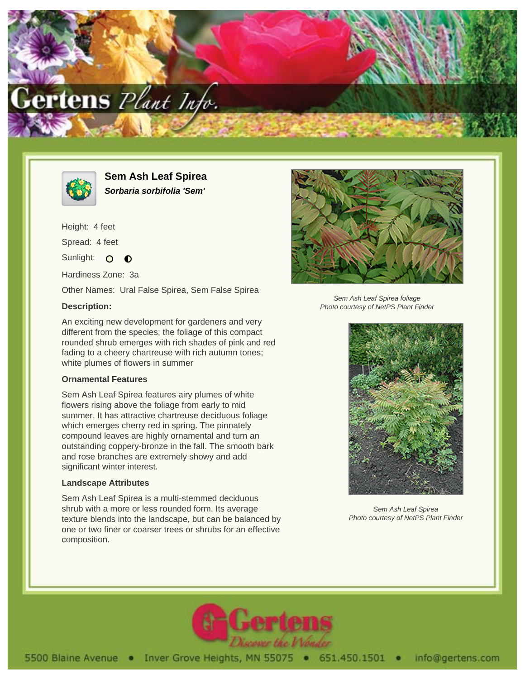



**Sem Ash Leaf Spirea Sorbaria sorbifolia 'Sem'**

Height: 4 feet Spread: 4 feet Sunlight: O  $\bullet$ Hardiness Zone: 3a

Other Names: Ural False Spirea, Sem False Spirea

## **Description:**

An exciting new development for gardeners and very different from the species; the foliage of this compact rounded shrub emerges with rich shades of pink and red fading to a cheery chartreuse with rich autumn tones; white plumes of flowers in summer

## **Ornamental Features**

Sem Ash Leaf Spirea features airy plumes of white flowers rising above the foliage from early to mid summer. It has attractive chartreuse deciduous foliage which emerges cherry red in spring. The pinnately compound leaves are highly ornamental and turn an outstanding coppery-bronze in the fall. The smooth bark and rose branches are extremely showy and add significant winter interest.

## **Landscape Attributes**

Sem Ash Leaf Spirea is a multi-stemmed deciduous shrub with a more or less rounded form. Its average texture blends into the landscape, but can be balanced by one or two finer or coarser trees or shrubs for an effective composition.



Sem Ash Leaf Spirea foliage Photo courtesy of NetPS Plant Finder



Sem Ash Leaf Spirea Photo courtesy of NetPS Plant Finder